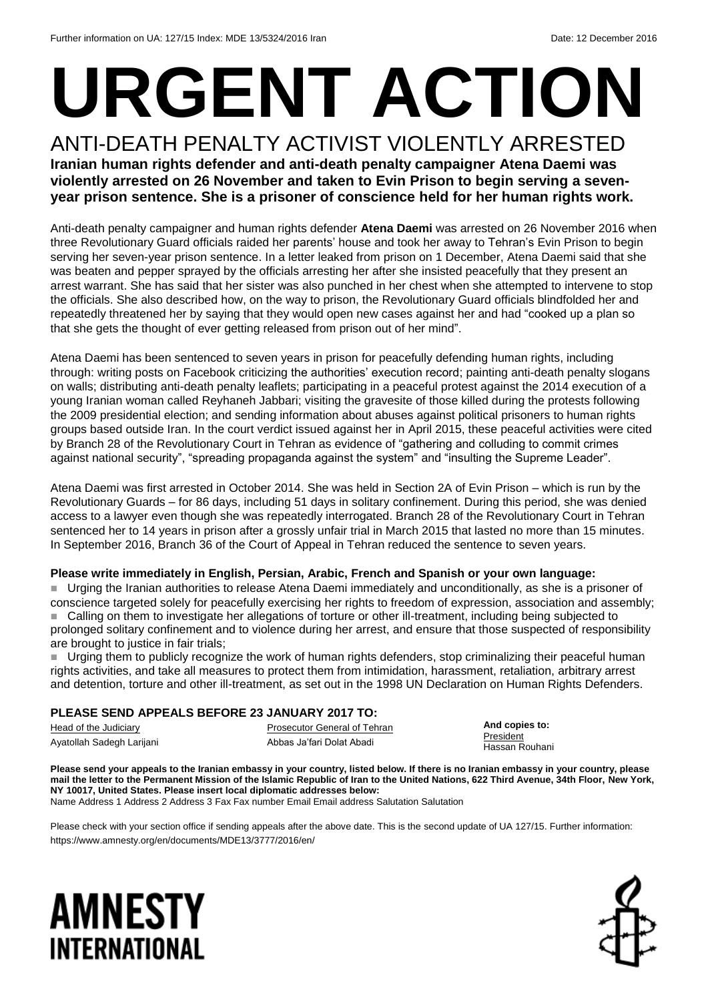# **URGENT ACTION**

ANTI-DEATH PENALTY ACTIVIST VIOLENTLY ARRESTED **Iranian human rights defender and anti-death penalty campaigner Atena Daemi was violently arrested on 26 November and taken to Evin Prison to begin serving a sevenyear prison sentence. She is a prisoner of conscience held for her human rights work.** 

Anti-death penalty campaigner and human rights defender **Atena Daemi** was arrested on 26 November 2016 when three Revolutionary Guard officials raided her parents' house and took her away to Tehran's Evin Prison to begin serving her seven-year prison sentence. In a letter leaked from prison on 1 December, Atena Daemi said that she was beaten and pepper sprayed by the officials arresting her after she insisted peacefully that they present an arrest warrant. She has said that her sister was also punched in her chest when she attempted to intervene to stop the officials. She also described how, on the way to prison, the Revolutionary Guard officials blindfolded her and repeatedly threatened her by saying that they would open new cases against her and had "cooked up a plan so that she gets the thought of ever getting released from prison out of her mind".

Atena Daemi has been sentenced to seven years in prison for peacefully defending human rights, including through: writing posts on Facebook criticizing the authorities' execution record; painting anti-death penalty slogans on walls; distributing anti-death penalty leaflets; participating in a peaceful protest against the 2014 execution of a young Iranian woman called Reyhaneh Jabbari; visiting the gravesite of those killed during the protests following the 2009 presidential election; and sending information about abuses against political prisoners to human rights groups based outside Iran. In the court verdict issued against her in April 2015, these peaceful activities were cited by Branch 28 of the Revolutionary Court in Tehran as evidence of "gathering and colluding to commit crimes against national security", "spreading propaganda against the system" and "insulting the Supreme Leader".

Atena Daemi was first arrested in October 2014. She was held in Section 2A of Evin Prison – which is run by the Revolutionary Guards – for 86 days, including 51 days in solitary confinement. During this period, she was denied access to a lawyer even though she was repeatedly interrogated. Branch 28 of the Revolutionary Court in Tehran sentenced her to 14 years in prison after a grossly unfair trial in March 2015 that lasted no more than 15 minutes. In September 2016, Branch 36 of the Court of Appeal in Tehran reduced the sentence to seven years.

#### **Please write immediately in English, Persian, Arabic, French and Spanish or your own language:**

 Urging the Iranian authorities to release Atena Daemi immediately and unconditionally, as she is a prisoner of conscience targeted solely for peacefully exercising her rights to freedom of expression, association and assembly; Calling on them to investigate her allegations of torture or other ill-treatment, including being subjected to prolonged solitary confinement and to violence during her arrest, and ensure that those suspected of responsibility are brought to justice in fair trials;

 Urging them to publicly recognize the work of human rights defenders, stop criminalizing their peaceful human rights activities, and take all measures to protect them from intimidation, harassment, retaliation, arbitrary arrest and detention, torture and other ill-treatment, as set out in the 1998 UN Declaration on Human Rights Defenders.

### **PLEASE SEND APPEALS BEFORE 23 JANUARY 2017 TO:**

Head of the Judiciary Ayatollah Sadegh Larijani Prosecutor General of Tehran Abbas Ja'fari Dolat Abadi

**And copies to: President** Hassan Rouhani

**Please send your appeals to the Iranian embassy in your country, listed below. If there is no Iranian embassy in your country, please mail the letter to the Permanent Mission of the Islamic Republic of Iran to the United Nations, 622 Third Avenue, 34th Floor, New York, NY 10017, United States. Please insert local diplomatic addresses below:** Name Address 1 Address 2 Address 3 Fax Fax number Email Email address Salutation Salutation

Please check with your section office if sending appeals after the above date. This is the second update of UA 127/15. Further information: https://www.amnesty.org/en/documents/MDE13/3777/2016/en/